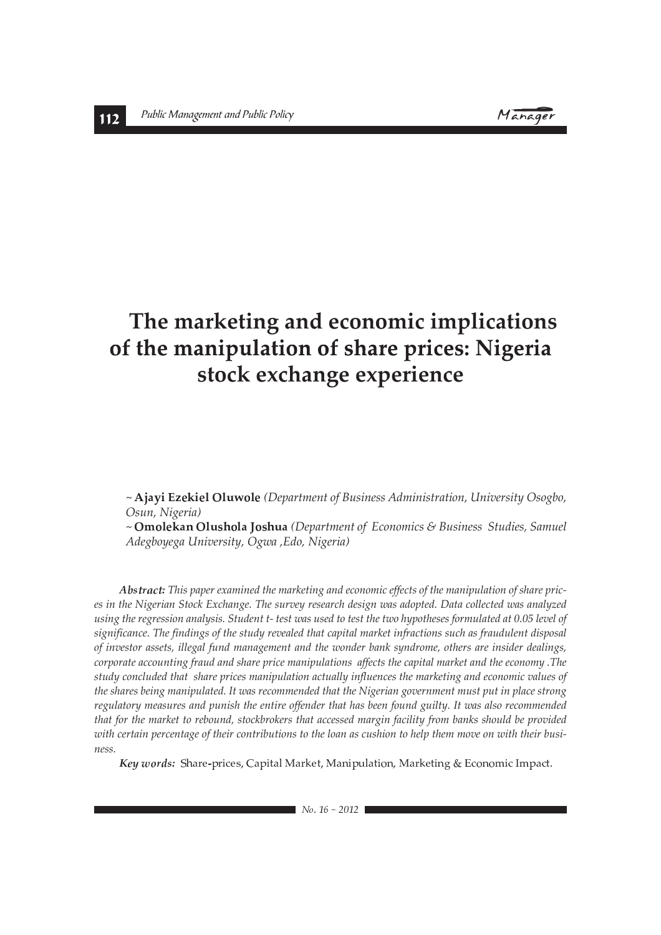Manager

# The marketing and economic implications of the manipulation of share prices: Nigeria stock exchange experience

~ Ajayi Ezekiel Oluwole (Department of Business Administration, University Osogbo, Osun, Nigeria)

 $\sim$  **Omolekan Olushola Joshua** (Department of Economics & Business Studies, Samuel *Adegboyega University, Ogwa, Edo, Nigeria*)

Abstract: This paper examined the marketing and economic effects of the manipulation of share prices in the Nigerian Stock Exchange. The survey research design was adopted. Data collected was analyzed using the regression analysis. Student t- test was used to test the two hypotheses formulated at 0.05 level of significance. The findings of the study revealed that capital market infractions such as fraudulent disposal of investor assets, illegal fund management and the wonder bank syndrome, others are insider dealings, *corporate accounting fraud and share price manipulations affects the capital market and the economy .The study concluded that share prices manipulation actually influences the marketing and economic values of* the shares being manipulated. It was recommended that the Nigerian government must put in place strong regulatory measures and punish the entire offender that has been found guilty. It was also recommended that for the market to rebound, stockbrokers that accessed margin facility from banks should be provided *with certain percentage of their contributions to the loan as cushion to help them move on with their busi* $ness$ 

words: Share-prices, Capital Market, Manipulation, Marketing & Economic Impact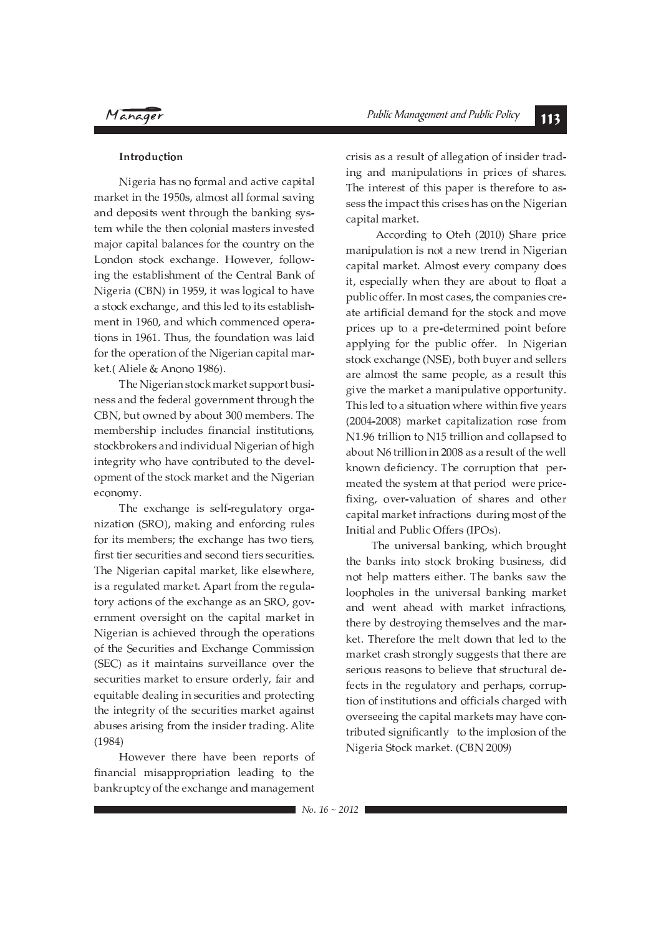### Introduction

Nigeria has no formal and active capital market in the 1950s, almost all formal saving and deposits went through the banking system while the then colonial masters invested major capital balances for the country on the London stock exchange. However, following the establishment of the Central Bank of Nigeria (CBN) in 1959, it was logical to have a stock exchange, and this led to its establishment in 1960, and which commenced operations in 1961. Thus, the foundation was laid for the operation of the Nigerian capital market.(Aliele & Anono 1986).

The Nigerian stock market support business and the federal government through the CBN, but owned by about 300 members. The membership includes financial institutions, stockbrokers and individual Nigerian of high integrity who have contributed to the development of the stock market and the Nigerian economy.

The exchange is self-regulatory organization (SRO), making and enforcing rules for its members; the exchange has two tiers, first tier securities and second tiers securities. The Nigerian capital market, like elsewhere, is a regulated market. Apart from the regulatory actions of the exchange as an SRO, government oversight on the capital market in Nigerian is achieved through the operations of the Securities and Exchange Commission (SEC) as it maintains surveillance over the securities market to ensure orderly, fair and equitable dealing in securities and protecting the integrity of the securities market against abuses arising from the insider trading. Alite  $(1984)$ 

However there have been reports of financial misappropriation leading to the bankruptcy of the exchange and management crisis as a result of allegation of insider trading and manipulations in prices of shares. The interest of this paper is therefore to assess the impact this crises has on the Nigerian capital market.

According to Oteh (2010) Share price manipulation is not a new trend in Nigerian capital market. Almost every company does it, especially when they are about to float a public offer. In most cases, the companies create artificial demand for the stock and move prices up to a pre-determined point before applying for the public offer. In Nigerian stock exchange (NSE), both buyer and sellers are almost the same people, as a result this give the market a manipulative opportunity. This led to a situation where within five years (2004-2008) market capitalization rose from N1.96 trillion to N15 trillion and collapsed to about N6 trillion in 2008 as a result of the well known deficiency. The corruption that permeated the system at that period were pricefixing, over-valuation of shares and other capital market infractions during most of the Initial and Public Offers (IPOs).

The universal banking, which brought the banks into stock broking business, did not help matters either. The banks saw the loopholes in the universal banking market and went ahead with market infractions, there by destroying themselves and the market. Therefore the melt down that led to the market crash strongly suggests that there are serious reasons to believe that structural defects in the regulatory and perhaps, corruption of institutions and officials charged with overseeing the capital markets may have contributed significantly to the implosion of the Nigeria Stock market. (CBN 2009)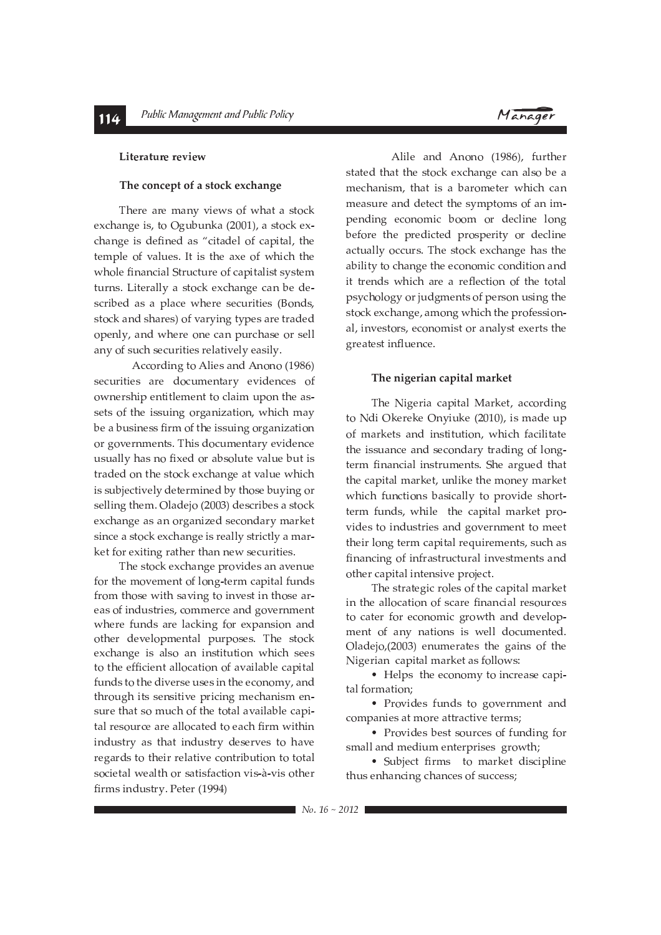### Literature review

### The concept of a stock exchange

There are many views of what a stock exchange is, to Ogubunka (2001), a stock exchange is defined as "citadel of capital, the temple of values. It is the axe of which the whole financial Structure of capitalist system turns. Literally a stock exchange can be described as a place where securities (Bonds, stock and shares) of varying types are traded openly, and where one can purchase or sell any of such securities relatively easily.

According to Alies and Anono (1986) securities are documentary evidences of ownership entitlement to claim upon the assets of the issuing organization, which may be a business firm of the issuing organization or governments. This documentary evidence usually has no fixed or absolute value but is traded on the stock exchange at value which is subjectively determined by those buying or selling them. Oladejo (2003) describes a stock exchange as an organized secondary market since a stock exchange is really strictly a market for exiting rather than new securities.

The stock exchange provides an avenue for the movement of long-term capital funds from those with saving to invest in those areas of industries, commerce and government where funds are lacking for expansion and other developmental purposes. The stock exchange is also an institution which sees to the efficient allocation of available capital funds to the diverse uses in the economy, and through its sensitive pricing mechanism ensure that so much of the total available capital resource are allocated to each firm within industry as that industry deserves to have regards to their relative contribution to total societal wealth or satisfaction vis-à-vis other firms industry. Peter (1994)

Alile and Anono (1986), further stated that the stock exchange can also be a mechanism, that is a barometer which can measure and detect the symptoms of an impending economic boom or decline long before the predicted prosperity or decline actually occurs. The stock exchange has the ability to change the economic condition and it trends which are a reflection of the total psychology or judgments of person using the stock exchange, among which the professional, investors, economist or analyst exerts the greatest influence.

### The nigerian capital market

The Nigeria capital Market, according to Ndi Okereke Onyiuke (2010), is made up of markets and institution, which facilitate the issuance and secondary trading of longterm financial instruments. She argued that the capital market, unlike the money market which functions basically to provide shortterm funds, while the capital market provides to industries and government to meet their long term capital requirements, such as financing of infrastructural investments and other capital intensive project.

The strategic roles of the capital market in the allocation of scare financial resources to cater for economic growth and development of any nations is well documented. Oladejo,(2003) enumerates the gains of the Nigerian capital market as follows:

• Helps the economy to increase capital formation:

• Provides funds to government and companies at more attractive terms;

• Provides best sources of funding for small and medium enterprises growth;

• Subject firms to market discipline thus enhancing chances of success;

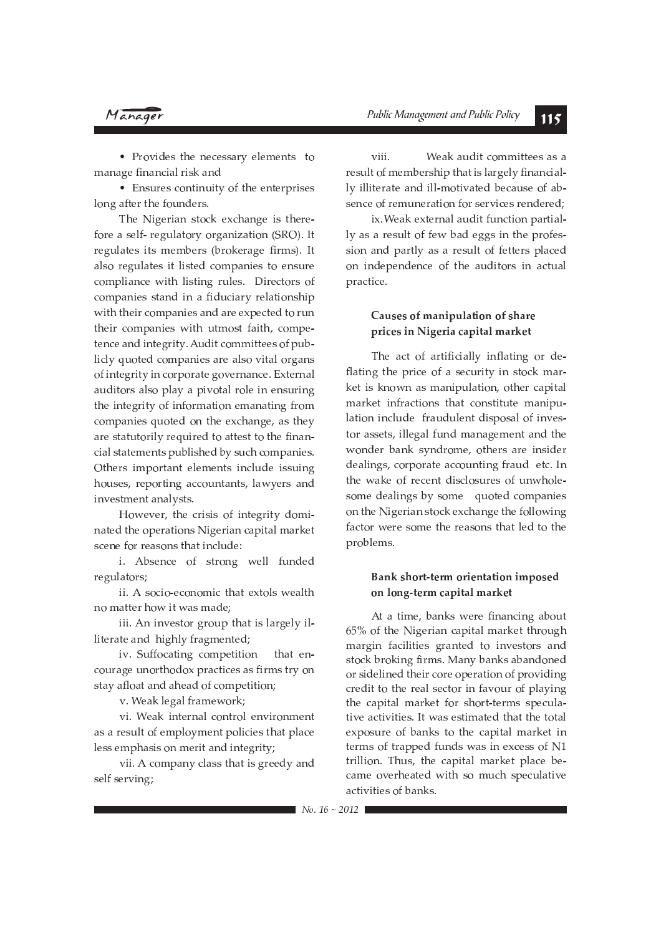### Manager

• Provides the necessary elements to manage financial risk and

• Ensures continuity of the enterprises long after the founders.

The Nigerian stock exchange is therefore a self- regulatory organization (SRO). It regulates its members (brokerage firms). It also regulates it listed companies to ensure compliance with listing rules. Directors of companies stand in a fiduciary relationship with their companies and are expected to run their companies with utmost faith, competence and integrity. Audit committees of publicly quoted companies are also vital organs of integrity in corporate governance. External auditors also play a pivotal role in ensuring the integrity of information emanating from companies quoted on the exchange, as they are statutorily required to attest to the financial statements published by such companies. Others important elements include issuing houses, reporting accountants, lawyers and investment analysts.

However, the crisis of integrity dominated the operations Nigerian capital market scene for reasons that include:

i. Absence of strong well funded regulators;

ii. A socio-economic that extols wealth no matter how it was made:

iii. An investor group that is largely illiterate and highly fragmented;

iv. Suffocating competition that encourage unorthodox practices as firms try on stay afloat and ahead of competition;

v. Weak legal framework;

vi. Weak internal control environment as a result of employment policies that place less emphasis on merit and integrity;

vii. A company class that is greedy and self serving;

viii Weak audit committees as a result of membership that is largely financially illiterate and ill-motivated because of absence of remuneration for services rendered:

ix. Weak external audit function partially as a result of few bad eggs in the profession and partly as a result of fetters placed on independence of the auditors in actual practice.

### Causes of manipulation of share prices in Nigeria capital market

The act of artificially inflating or deflating the price of a security in stock market is known as manipulation, other capital market infractions that constitute manipulation include fraudulent disposal of investor assets, illegal fund management and the wonder bank syndrome, others are insider dealings, corporate accounting fraud etc. In the wake of recent disclosures of unwholesome dealings by some quoted companies on the Nigerian stock exchange the following factor were some the reasons that led to the problems.

### Bank short-term orientation imposed on long-term capital market

At a time, banks were financing about 65% of the Nigerian capital market through margin facilities granted to investors and stock broking firms. Many banks abandoned or sidelined their core operation of providing credit to the real sector in favour of playing the capital market for short-terms speculative activities. It was estimated that the total exposure of banks to the capital market in terms of trapped funds was in excess of N1 trillion. Thus, the capital market place became overheated with so much speculative activities of banks.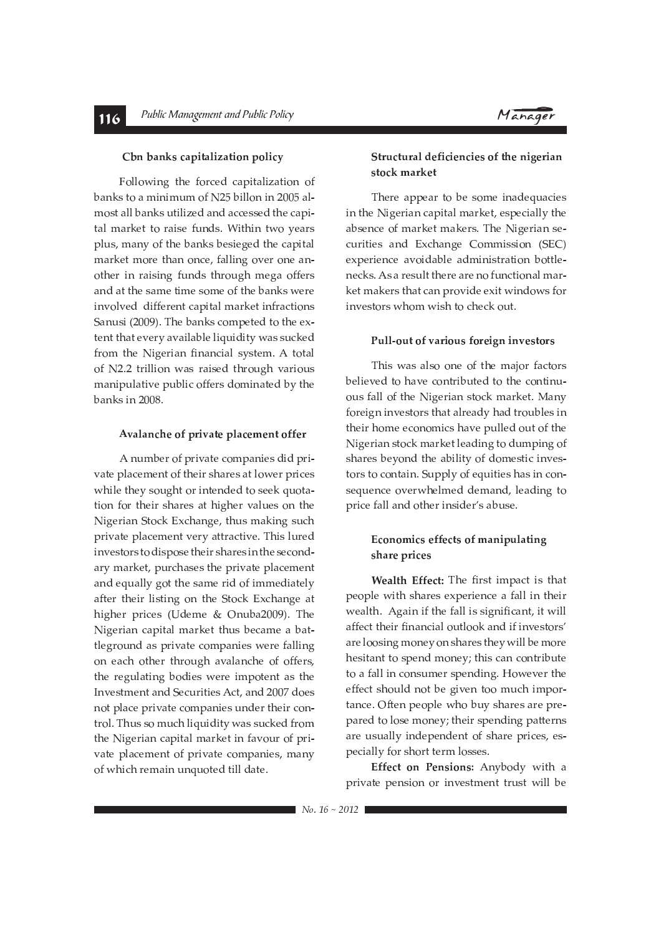

### Cbn banks capitalization policy

Following the forced capitalization of banks to a minimum of N25 billon in 2005 almost all banks utilized and accessed the capital market to raise funds. Within two years plus, many of the banks besieged the capital market more than once, falling over one another in raising funds through mega offers and at the same time some of the banks were involved different capital market infractions Sanusi (2009). The banks competed to the extent that every available liquidity was sucked from the Nigerian financial system. A total of N2.2 trillion was raised through various manipulative public offers dominated by the banks in 2008.

### Avalanche of private placement offer

A number of private companies did private placement of their shares at lower prices while they sought or intended to seek quotation for their shares at higher values on the Nigerian Stock Exchange, thus making such private placement very attractive. This lured investors to dispose their shares in the secondary market, purchases the private placement and equally got the same rid of immediately after their listing on the Stock Exchange at higher prices (Udeme & Onuba2009). The Nigerian capital market thus became a battleground as private companies were falling on each other through avalanche of offers, the regulating bodies were impotent as the Investment and Securities Act, and 2007 does not place private companies under their control. Thus so much liquidity was sucked from the Nigerian capital market in favour of private placement of private companies, many of which remain unquoted till date.

### Structural deficiencies of the nigerian stock market

There appear to be some inadequacies in the Nigerian capital market, especially the absence of market makers. The Nigerian securities and Exchange Commission (SEC) experience avoidable administration bottlenecks. As a result there are no functional market makers that can provide exit windows for investors whom wish to check out.

### Pull-out of various foreign investors

This was also one of the major factors believed to have contributed to the continuous fall of the Nigerian stock market. Many foreign investors that already had troubles in their home economics have pulled out of the Nigerian stock market leading to dumping of shares beyond the ability of domestic investors to contain. Supply of equities has in consequence overwhelmed demand, leading to price fall and other insider's abuse.

### Economics effects of manipulating share prices

Wealth Effect: The first impact is that people with shares experience a fall in their wealth. Again if the fall is significant, it will affect their financial outlook and if investors' are loosing money on shares they will be more hesitant to spend money; this can contribute to a fall in consumer spending. However the effect should not be given too much importance. Often people who buy shares are prepared to lose money; their spending patterns are usually independent of share prices, especially for short term losses.

Effect on Pensions: Anybody with a private pension or investment trust will be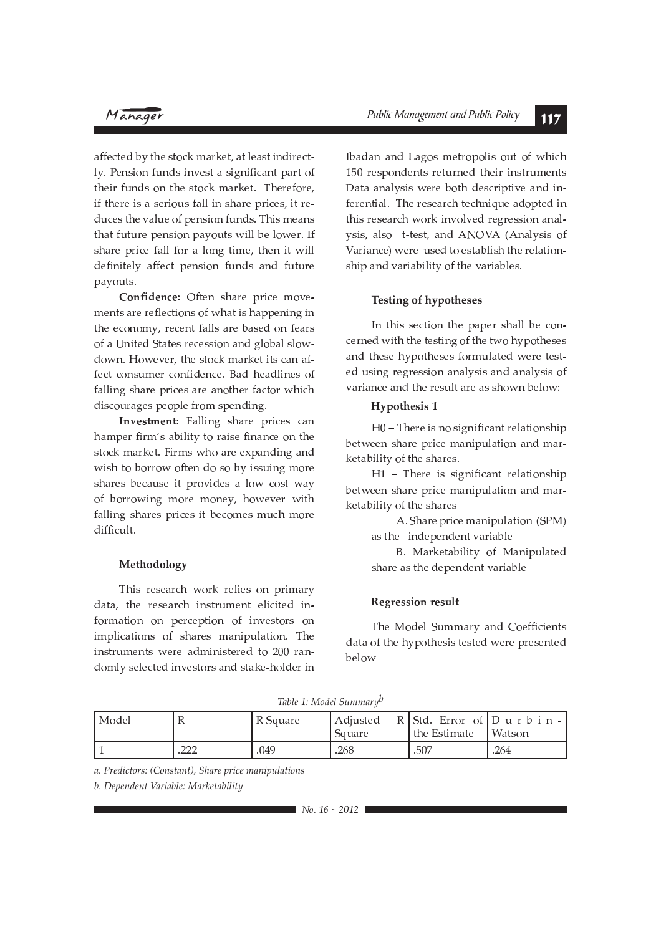## Manager

affected by the stock market, at least indirectly. Pension funds invest a significant part of their funds on the stock market. Therefore, if there is a serious fall in share prices, it reduces the value of pension funds. This means that future pension payouts will be lower. If share price fall for a long time, then it will definitely affect pension funds and future payouts.

Confidence: Often share price movements are reflections of what is happening in the economy, recent falls are based on fears of a United States recession and global slowdown. However, the stock market its can affect consumer confidence. Bad headlines of falling share prices are another factor which discourages people from spending.

Investment: Falling share prices can hamper firm's ability to raise finance on the stock market. Firms who are expanding and wish to borrow often do so by issuing more shares because it provides a low cost way of borrowing more money, however with falling shares prices it becomes much more difficult.

### Methodology

This research work relies on primary data, the research instrument elicited information on perception of investors on implications of shares manipulation. The instruments were administered to 200 randomly selected investors and stake-holder in Ibadan and Lagos metropolis out of which 150 respondents returned their instruments Data analysis were both descriptive and inferential. The research technique adopted in this research work involved regression analysis, also t-test, and ANOVA (Analysis of Variance) were used to establish the relationship and variability of the variables.

### **Testing of hypotheses**

In this section the paper shall be concerned with the testing of the two hypotheses and these hypotheses formulated were tested using regression analysis and analysis of variance and the result are as shown below:

### **Hypothesis 1**

H0 - There is no significant relationship between share price manipulation and marketability of the shares.

H1 - There is significant relationship between share price manipulation and marketability of the shares

> A. Share price manipulation (SPM) as the independent variable

> B. Marketability of Manipulated share as the dependent variable

### **Regression result**

The Model Summary and Coefficients data of the hypothesis tested were presented below

Table 1: Model Summary<sup>b</sup>

| l Model |               | R Square | Adjusted<br>Square | $R$ Std. Error of Durbin-<br>the Estimate | Watson |
|---------|---------------|----------|--------------------|-------------------------------------------|--------|
|         | ״ר ∩<br>ے ے ، | .049     | .268               | .507                                      | .264   |

a. Predictors: (Constant), Share price manipulations

b. Dependent Variable: Marketability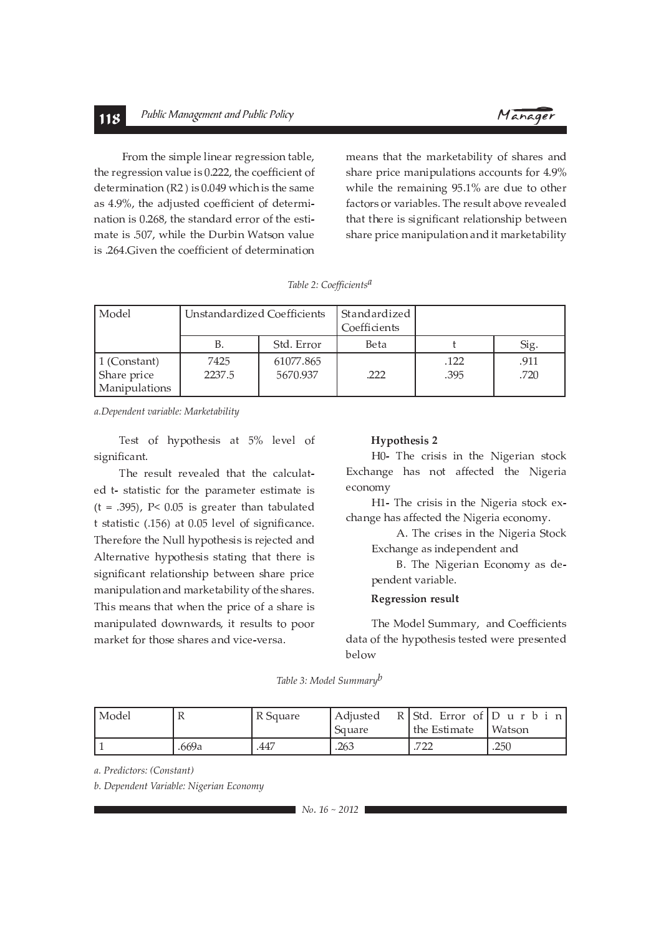#### Public Management and Public Policy 118



From the simple linear regression table, the regression value is 0.222, the coefficient of determination (R2) is 0.049 which is the same as 4.9%, the adjusted coefficient of determination is 0.268, the standard error of the estimate is .507, while the Durbin Watson value is .264. Given the coefficient of determination

means that the marketability of shares and share price manipulations accounts for 4.9% while the remaining 95.1% are due to other factors or variables. The result above revealed that there is significant relationship between share price manipulation and it marketability

| Table 2: Coefficients <sup>a</sup> |
|------------------------------------|
|------------------------------------|

| Model                                        | Unstandardized Coefficients |                       | Standardized<br>Coefficients |              |              |
|----------------------------------------------|-----------------------------|-----------------------|------------------------------|--------------|--------------|
|                                              | В.                          | Std. Error            | Beta                         |              | Sig.         |
| 1 (Constant)<br>Share price<br>Manipulations | 7425<br>2237.5              | 61077.865<br>5670.937 | .222                         | .122<br>.395 | .911<br>.720 |

a.Dependent variable: Marketability

Test of hypothesis at 5% level of significant.

The result revealed that the calculated t- statistic for the parameter estimate is  $(t = .395)$ , P< 0.05 is greater than tabulated t statistic (.156) at 0.05 level of significance. Therefore the Null hypothesis is rejected and Alternative hypothesis stating that there is significant relationship between share price manipulation and marketability of the shares. This means that when the price of a share is manipulated downwards, it results to poor market for those shares and vice-versa.

### **Hypothesis 2**

H0- The crisis in the Nigerian stock Exchange has not affected the Nigeria economy

H1- The crisis in the Nigeria stock exchange has affected the Nigeria economy.

> A. The crises in the Nigeria Stock Exchange as independent and

> B. The Nigerian Economy as dependent variable.

### **Regression result**

The Model Summary, and Coefficients data of the hypothesis tested were presented below

Table 3: Model Summary<sup>b</sup>

| ' Model |       | R Square | Adjusted<br>Square | $R$ Std. Error of Durbin<br>the Estimate   Watson |      |
|---------|-------|----------|--------------------|---------------------------------------------------|------|
|         | .669a | .447     | .263               | מרי<br>.                                          | .250 |

a. Predictors: (Constant)

b. Dependent Variable: Nigerian Economy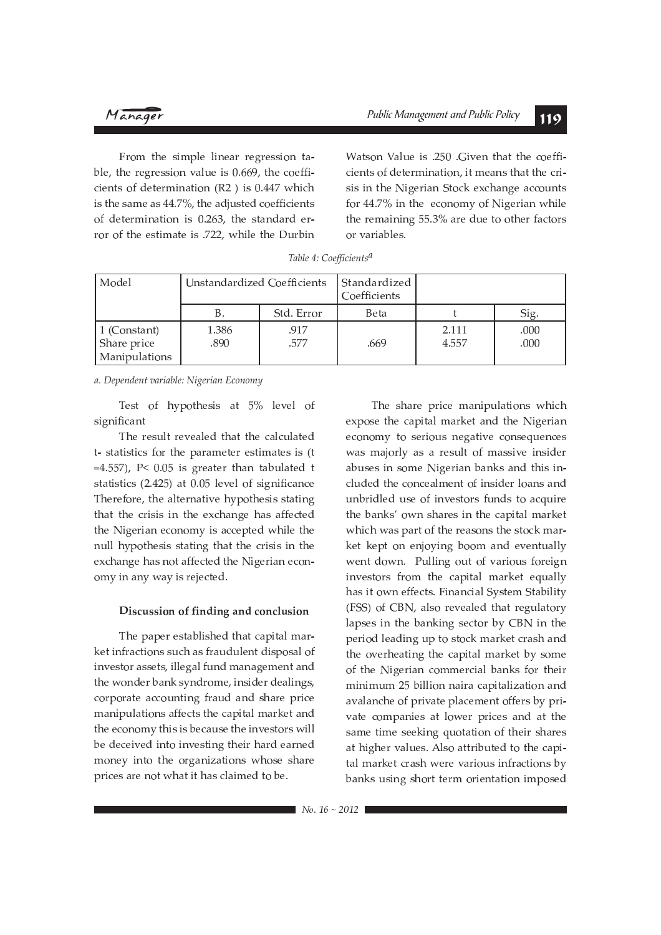From the simple linear regression table, the regression value is 0.669, the coefficients of determination (R2) is 0.447 which is the same as 44.7%, the adjusted coefficients of determination is 0.263, the standard error of the estimate is .722, while the Durbin Watson Value is .250 .Given that the coefficients of determination, it means that the crisis in the Nigerian Stock exchange accounts for 44.7% in the economy of Nigerian while the remaining 55.3% are due to other factors or variables.

| Model                                                | Unstandardized Coefficients |              | Standardized<br>Coefficients |                |              |
|------------------------------------------------------|-----------------------------|--------------|------------------------------|----------------|--------------|
|                                                      | Β.                          | Std. Error   | Beta                         |                | Sig.         |
| $\vert$ 1 (Constant)<br>Share price<br>Manipulations | 1.386<br>.890               | .917<br>.577 | .669                         | 2.111<br>4.557 | .000<br>.000 |

Table 4: Coefficients<sup>a</sup>

a. Dependent variable: Nigerian Economy

Test of hypothesis at 5% level of significant

The result revealed that the calculated t- statistics for the parameter estimates is (t =4.557),  $P < 0.05$  is greater than tabulated t statistics (2.425) at 0.05 level of significance Therefore, the alternative hypothesis stating that the crisis in the exchange has affected the Nigerian economy is accepted while the null hypothesis stating that the crisis in the exchange has not affected the Nigerian economy in any way is rejected.

### Discussion of finding and conclusion

The paper established that capital market infractions such as fraudulent disposal of investor assets, illegal fund management and the wonder bank syndrome, insider dealings, corporate accounting fraud and share price manipulations affects the capital market and the economy this is because the investors will be deceived into investing their hard earned money into the organizations whose share prices are not what it has claimed to be.

The share price manipulations which expose the capital market and the Nigerian economy to serious negative consequences was majorly as a result of massive insider abuses in some Nigerian banks and this included the concealment of insider loans and unbridled use of investors funds to acquire the banks' own shares in the capital market which was part of the reasons the stock market kept on enjoying boom and eventually went down. Pulling out of various foreign investors from the capital market equally has it own effects. Financial System Stability (FSS) of CBN, also revealed that regulatory lapses in the banking sector by CBN in the period leading up to stock market crash and the overheating the capital market by some of the Nigerian commercial banks for their minimum 25 billion naira capitalization and avalanche of private placement offers by private companies at lower prices and at the same time seeking quotation of their shares at higher values. Also attributed to the capital market crash were various infractions by banks using short term orientation imposed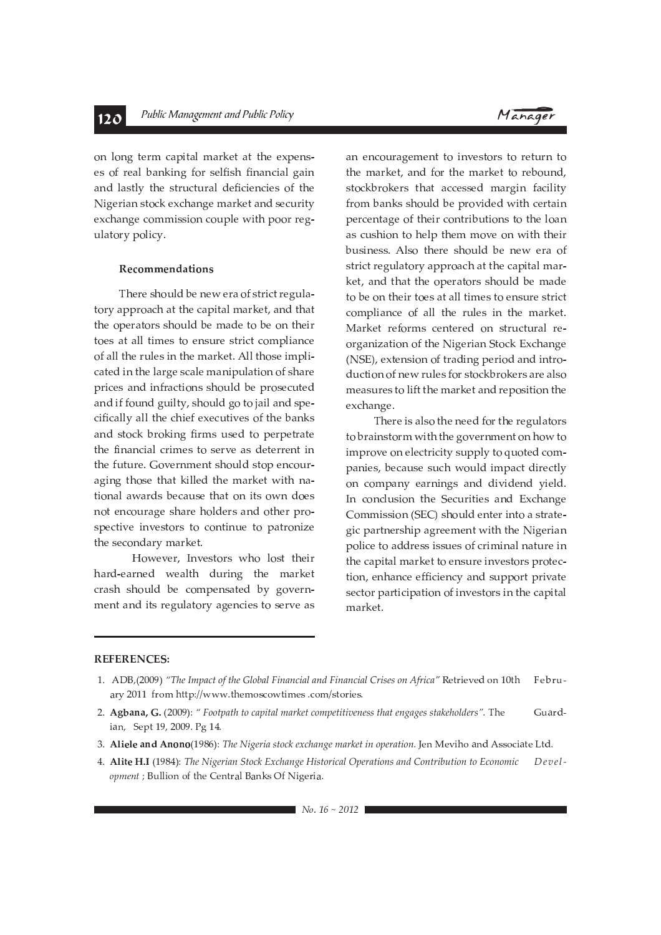on long term capital market at the expenses of real banking for selfish financial gain and lastly the structural deficiencies of the Nigerian stock exchange market and security exchange commission couple with poor regulatory policy.

### Recommendations

There should be new era of strict regulatory approach at the capital market, and that the operators should be made to be on their toes at all times to ensure strict compliance of all the rules in the market. All those implicated in the large scale manipulation of share prices and infractions should be prosecuted and if found guilty, should go to jail and specifically all the chief executives of the banks and stock broking firms used to perpetrate the financial crimes to serve as deterrent in the future. Government should stop encouraging those that killed the market with national awards because that on its own does not encourage share holders and other prospective investors to continue to patronize the secondary market.

However, Investors who lost their hard-earned wealth during the market crash should be compensated by government and its regulatory agencies to serve as



an encouragement to investors to return to the market, and for the market to rebound, stockbrokers that accessed margin facility from banks should be provided with certain percentage of their contributions to the loan as cushion to help them move on with their business. Also there should be new era of strict regulatory approach at the capital market, and that the operators should be made to be on their toes at all times to ensure strict compliance of all the rules in the market. Market reforms centered on structural reorganization of the Nigerian Stock Exchange (NSE), extension of trading period and introduction of new rules for stockbrokers are also measures to lift the market and reposition the exchange.

There is also the need for the regulators to brainstorm with the government on how to improve on electricity supply to quoted companies, because such would impact directly on company earnings and dividend yield. In conclusion the Securities and Exchange Commission (SEC) should enter into a strategic partnership agreement with the Nigerian police to address issues of criminal nature in the capital market to ensure investors protection, enhance efficiency and support private sector participation of investors in the capital market.

### **REFERENCES:**

- 2. Agbana, G. (2009): " Footpath to capital market competitiveness that engages stakeholders". The Guardian, Sept 19, 2009. Pg 14.
- 3. Aliele and Anono(1986): The Nigeria stock exchange market in operation. Jen Meviho and Associate Ltd.
- 4. Alite H.I (1984): The Nigerian Stock Exchange Historical Operations and Contribution to Economic  $Depel$ opment ; Bullion of the Central Banks Of Nigeria.

<sup>1.</sup> ADB<sub>1</sub>(2009) "The Impact of the Global Financial and Financial Crises on Africa" Retrieved on 10th  $Fehri1$ ary 2011 from http://www.themoscowtimes .com/stories.